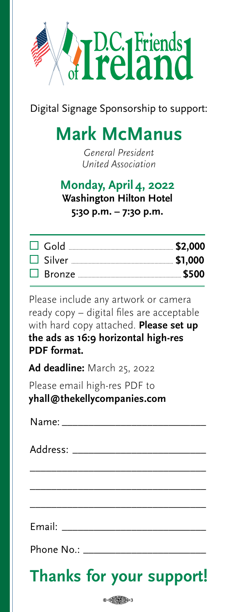

Digital Signage Sponsorship to support:

## **Mark McManus**

General President United Association

## **Monday, March 30, 2020 Monday, April 4, 2022 Washington Hilton Hotel Washington Hilton Hotel 5:30 p.m. – 7:30 p.m. 5:30 p.m. – 7:30 p.m.**

Please include any artwork or camera ready copy – digital files are acceptable with hard copy attached. **Please set up**<br>. 16:9 horizontal format. **PDF format. the ads as 16:9 horizontal high-res**

Ad deadline: March 12, 2020 **Ad deadline:** March 25, 2022

Please email high-res PDF to Please email high-res PDF to **talexander@mosaic.buzz yhall@thekellycompanies.com**

\_\_\_\_\_\_\_\_\_\_\_\_\_\_\_\_\_\_\_\_\_\_\_\_\_\_\_\_\_\_\_\_\_

Email:

Phone No.:

## **Thanks for your support!**